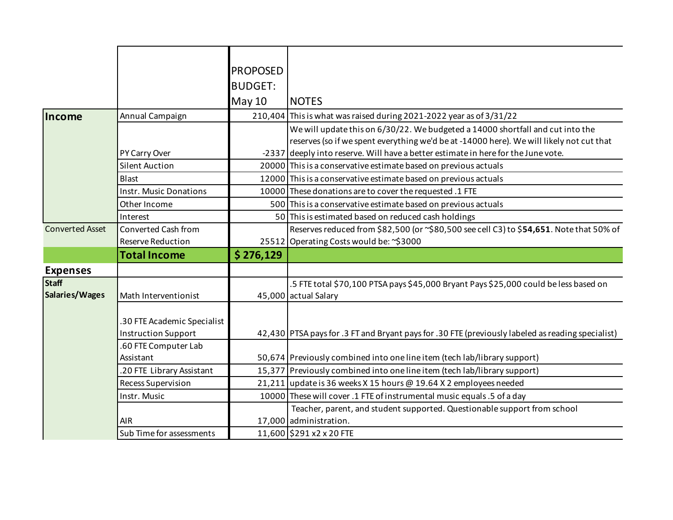|                        |                               | <b>PROPOSED</b> |                                                                                                   |
|------------------------|-------------------------------|-----------------|---------------------------------------------------------------------------------------------------|
|                        |                               | <b>BUDGET:</b>  |                                                                                                   |
|                        |                               |                 |                                                                                                   |
|                        |                               | <b>May 10</b>   | <b>NOTES</b>                                                                                      |
| Income                 | Annual Campaign               |                 | 210,404 This is what was raised during 2021-2022 year as of 3/31/22                               |
|                        |                               |                 | We will update this on 6/30/22. We budgeted a 14000 shortfall and cut into the                    |
|                        |                               |                 | reserves (so if we spent everything we'd be at -14000 here). We will likely not cut that          |
|                        | PY Carry Over                 |                 | -2337 deeply into reserve. Will have a better estimate in here for the June vote.                 |
|                        | <b>Silent Auction</b>         |                 | 20000 This is a conservative estimate based on previous actuals                                   |
|                        | <b>Blast</b>                  |                 | 12000 This is a conservative estimate based on previous actuals                                   |
|                        | <b>Instr. Music Donations</b> |                 | 10000 These donations are to cover the requested .1 FTE                                           |
|                        | Other Income                  |                 | 500 This is a conservative estimate based on previous actuals                                     |
|                        | Interest                      |                 | 50 This is estimated based on reduced cash holdings                                               |
| <b>Converted Asset</b> | Converted Cash from           |                 | Reserves reduced from \$82,500 (or ~\$80,500 see cell C3) to \$54,651. Note that 50% of           |
|                        | <b>Reserve Reduction</b>      |                 | 25512 Operating Costs would be: ~\$3000                                                           |
|                        | <b>Total Income</b>           | \$276,129       |                                                                                                   |
| <b>Expenses</b>        |                               |                 |                                                                                                   |
| <b>Staff</b>           |                               |                 | .5 FTE total \$70,100 PTSA pays \$45,000 Bryant Pays \$25,000 could be less based on              |
| Salaries/Wages         | Math Interventionist          |                 | 45,000 actual Salary                                                                              |
|                        |                               |                 |                                                                                                   |
|                        | .30 FTE Academic Specialist   |                 |                                                                                                   |
|                        | <b>Instruction Support</b>    |                 | 42,430 PTSA pays for .3 FT and Bryant pays for .30 FTE (previously labeled as reading specialist) |
|                        | .60 FTE Computer Lab          |                 |                                                                                                   |
|                        | Assistant                     |                 | 50,674 Previously combined into one line item (tech lab/library support)                          |
|                        | .20 FTE Library Assistant     |                 | 15,377 Previously combined into one line item (tech lab/library support)                          |
|                        | <b>Recess Supervision</b>     |                 | 21,211 update is 36 weeks X 15 hours @ 19.64 X 2 employees needed                                 |
|                        | Instr. Music                  |                 | 10000 These will cover .1 FTE of instrumental music equals .5 of a day                            |
|                        |                               |                 | Teacher, parent, and student supported. Questionable support from school                          |
|                        | <b>AIR</b>                    |                 | 17,000 administration.                                                                            |
|                        | Sub Time for assessments      |                 | 11,600 \$291 x2 x 20 FTE                                                                          |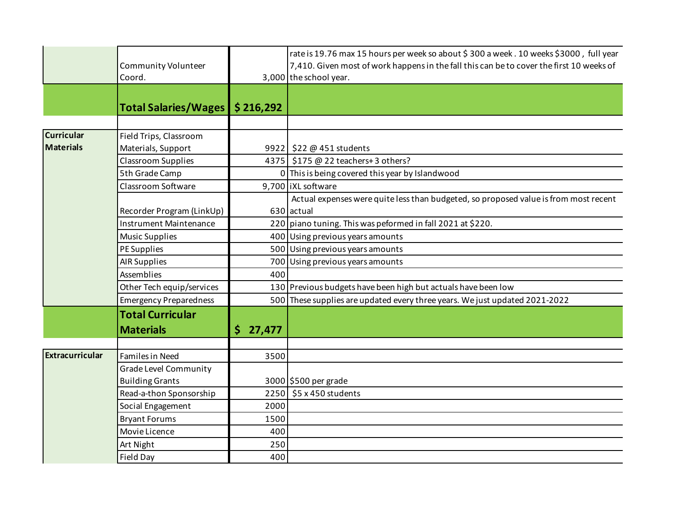|                        | Community Volunteer<br>Coord. |               | rate is 19.76 max 15 hours per week so about \$ 300 a week. 10 weeks \$3000, full year<br>7,410. Given most of work happens in the fall this can be to cover the first 10 weeks of<br>3,000 the school year. |
|------------------------|-------------------------------|---------------|--------------------------------------------------------------------------------------------------------------------------------------------------------------------------------------------------------------|
|                        | <b>Total Salaries/Wages</b>   | \$216,292     |                                                                                                                                                                                                              |
|                        |                               |               |                                                                                                                                                                                                              |
| <b>Curricular</b>      | Field Trips, Classroom        |               |                                                                                                                                                                                                              |
| <b>Materials</b>       | Materials, Support            |               | 9922   \$22 @ 451 students                                                                                                                                                                                   |
|                        | <b>Classroom Supplies</b>     |               | 4375 \$175 @ 22 teachers+ 3 others?                                                                                                                                                                          |
|                        | 5th Grade Camp                |               | 0 This is being covered this year by Islandwood                                                                                                                                                              |
|                        | Classroom Software            |               | 9,700 IXL software                                                                                                                                                                                           |
|                        |                               |               | Actual expenses were quite less than budgeted, so proposed value is from most recent                                                                                                                         |
|                        | Recorder Program (LinkUp)     |               | 630 actual                                                                                                                                                                                                   |
|                        | <b>Instrument Maintenance</b> |               | 220 piano tuning. This was peformed in fall 2021 at \$220.                                                                                                                                                   |
|                        | <b>Music Supplies</b>         |               | 400 Using previous years amounts                                                                                                                                                                             |
|                        | PE Supplies                   |               | 500 Using previous years amounts                                                                                                                                                                             |
|                        | <b>AIR Supplies</b>           |               | 700 Using previous years amounts                                                                                                                                                                             |
|                        | Assemblies                    | 400           |                                                                                                                                                                                                              |
|                        | Other Tech equip/services     |               | 130 Previous budgets have been high but actuals have been low                                                                                                                                                |
|                        | <b>Emergency Preparedness</b> |               | 500 These supplies are updated every three years. We just updated 2021-2022                                                                                                                                  |
|                        | <b>Total Curricular</b>       |               |                                                                                                                                                                                                              |
|                        | <b>Materials</b>              | \$.<br>27,477 |                                                                                                                                                                                                              |
|                        |                               |               |                                                                                                                                                                                                              |
| <b>Extracurricular</b> | <b>Familes in Need</b>        | 3500          |                                                                                                                                                                                                              |
|                        | <b>Grade Level Community</b>  |               |                                                                                                                                                                                                              |
|                        | <b>Building Grants</b>        |               | 3000 \$500 per grade                                                                                                                                                                                         |
|                        | Read-a-thon Sponsorship       | 2250          | \$5 x 450 students                                                                                                                                                                                           |
|                        | Social Engagement             | 2000          |                                                                                                                                                                                                              |
|                        | <b>Bryant Forums</b>          | 1500          |                                                                                                                                                                                                              |
|                        | Movie Licence                 | 400           |                                                                                                                                                                                                              |
|                        | Art Night                     | 250           |                                                                                                                                                                                                              |
|                        | <b>Field Day</b>              | 400           |                                                                                                                                                                                                              |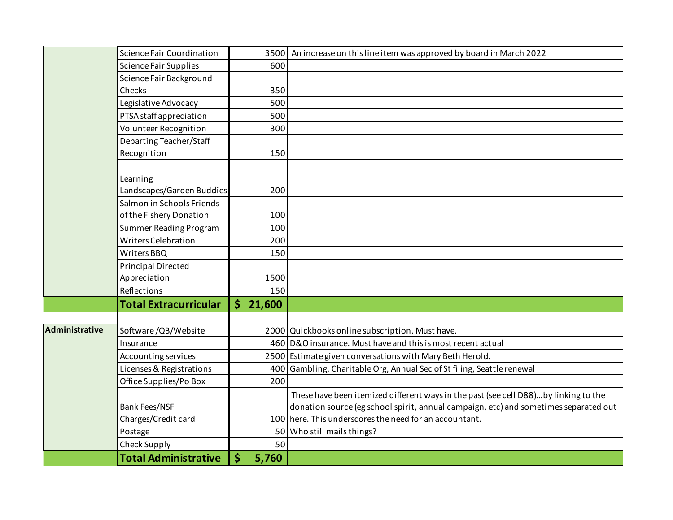|                | Science Fair Coordination     |                              | 3500 An increase on this line item was approved by board in March 2022               |
|----------------|-------------------------------|------------------------------|--------------------------------------------------------------------------------------|
|                | Science Fair Supplies         | 600                          |                                                                                      |
|                | Science Fair Background       |                              |                                                                                      |
|                | Checks                        | 350                          |                                                                                      |
|                | Legislative Advocacy          | 500                          |                                                                                      |
|                | PTSA staff appreciation       | 500                          |                                                                                      |
|                | Volunteer Recognition         | 300                          |                                                                                      |
|                | Departing Teacher/Staff       |                              |                                                                                      |
|                | Recognition                   | 150                          |                                                                                      |
|                |                               |                              |                                                                                      |
|                | Learning                      |                              |                                                                                      |
|                | Landscapes/Garden Buddies     | 200                          |                                                                                      |
|                | Salmon in Schools Friends     |                              |                                                                                      |
|                | of the Fishery Donation       | 100                          |                                                                                      |
|                | <b>Summer Reading Program</b> | 100                          |                                                                                      |
|                | <b>Writers Celebration</b>    | 200                          |                                                                                      |
|                | Writers BBQ                   | 150                          |                                                                                      |
|                | <b>Principal Directed</b>     |                              |                                                                                      |
|                | Appreciation                  | 1500                         |                                                                                      |
|                | Reflections                   | 150                          |                                                                                      |
|                | <b>Total Extracurricular</b>  | $\dot{\mathsf{S}}$<br>21,600 |                                                                                      |
|                |                               |                              |                                                                                      |
| Administrative | Software/QB/Website           |                              | 2000 Quickbooks online subscription. Must have.                                      |
|                | Insurance                     |                              | 460 D&O insurance. Must have and this is most recent actual                          |
|                | Accounting services           |                              | 2500 Estimate given conversations with Mary Beth Herold.                             |
|                | Licenses & Registrations      | 400                          | Gambling, Charitable Org, Annual Sec of St filing, Seattle renewal                   |
|                | Office Supplies/Po Box        | 200                          |                                                                                      |
|                |                               |                              | These have been itemized different ways in the past (see cell D88)by linking to the  |
|                | <b>Bank Fees/NSF</b>          |                              | donation source (eg school spirit, annual campaign, etc) and sometimes separated out |
|                | Charges/Credit card           |                              | 100 here. This underscores the need for an accountant.                               |
|                | Postage                       |                              | 50 Who still mails things?                                                           |
|                | Check Supply                  | 50                           |                                                                                      |
|                | <b>Total Administrative</b>   | \$<br>5,760                  |                                                                                      |